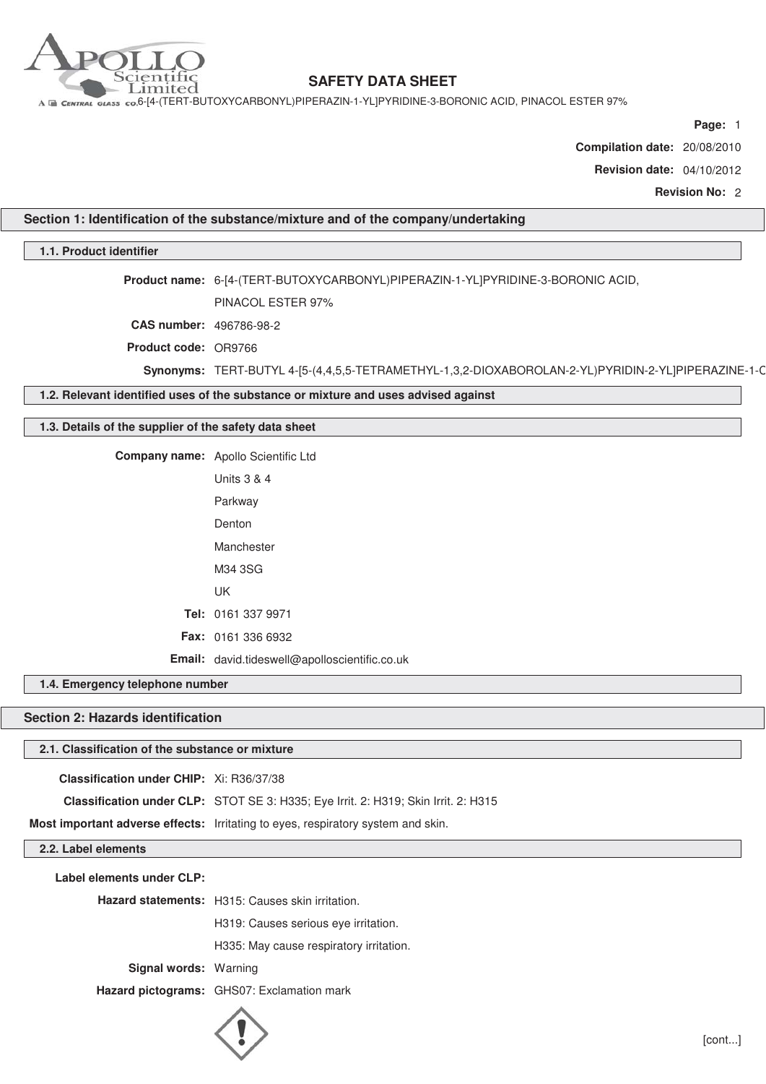

A E CENTRAL GLASS CO.6-[4-(TERT-BUTOXYCARBONYL)PIPERAZIN-1-YL]PYRIDINE-3-BORONIC ACID, PINACOL ESTER 97%

**Page:** 1

**Compilation date:** 20/08/2010

**Revision date:** 04/10/2012

**Revision No:** 2

**Section 1: Identification of the substance/mixture and of the company/undertaking**

#### **1.1. Product identifier**

**Product name:** 6-[4-(TERT-BUTOXYCARBONYL)PIPERAZIN-1-YL]PYRIDINE-3-BORONIC ACID,

PINACOL ESTER 97%

**CAS number:** 496786-98-2

**Product code:** OR9766

**Synonyms:** TERT-BUTYL 4-[5-(4,4,5,5-TETRAMETHYL-1,3,2-DIOXABOROLAN-2-YL)PYRIDIN-2-YL]PIPERAZINE-1-C

**1.2. Relevant identified uses of the substance or mixture and uses advised against**

#### **1.3. Details of the supplier of the safety data sheet**

**Company name:** Apollo Scientific Ltd

| Units 3 & 4                                          |
|------------------------------------------------------|
| Parkway                                              |
| Denton                                               |
| Manchester                                           |
| M34 3SG                                              |
| UΚ                                                   |
| Tel: 0161 337 9971                                   |
| <b>Fax: 0161 336 6932</b>                            |
| <b>Email:</b> david.tideswell@apolloscientific.co.uk |

**1.4. Emergency telephone number**

### **Section 2: Hazards identification**

#### **2.1. Classification of the substance or mixture**

**Classification under CHIP:** Xi: R36/37/38

**Classification under CLP:** STOT SE 3: H335; Eye Irrit. 2: H319; Skin Irrit. 2: H315

**Most important adverse effects:** Irritating to eyes, respiratory system and skin.

**2.2. Label elements**

**Label elements under CLP:**

**Hazard statements:** H315: Causes skin irritation.

H319: Causes serious eye irritation.

H335: May cause respiratory irritation.

**Signal words:** Warning

**Hazard pictograms:** GHS07: Exclamation mark

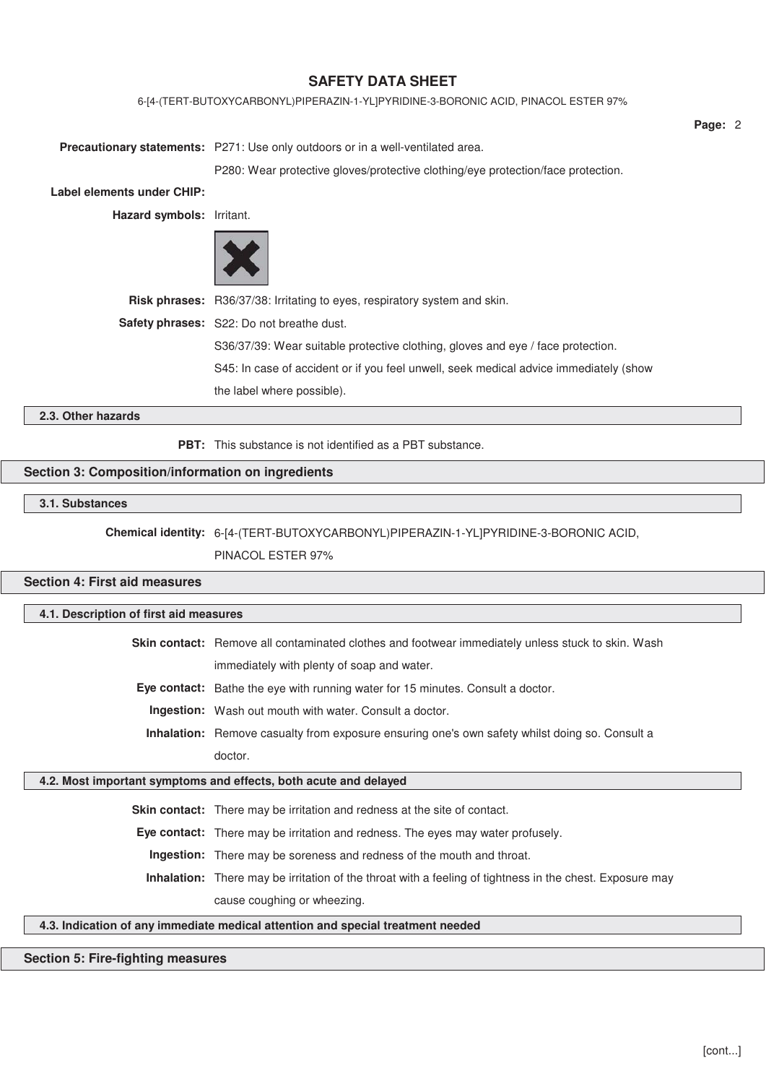#### 6-[4-(TERT-BUTOXYCARBONYL)PIPERAZIN-1-YL]PYRIDINE-3-BORONIC ACID, PINACOL ESTER 97%

**Precautionary statements:** P271: Use only outdoors or in a well-ventilated area.

P280: Wear protective gloves/protective clothing/eye protection/face protection.

**Label elements under CHIP:**

**Hazard symbols:** Irritant.



**Risk phrases:** R36/37/38: Irritating to eyes, respiratory system and skin. **Safety phrases:** S22: Do not breathe dust. S36/37/39: Wear suitable protective clothing, gloves and eye / face protection. S45: In case of accident or if you feel unwell, seek medical advice immediately (show the label where possible).

### **2.3. Other hazards**

**PBT:** This substance is not identified as a PBT substance.

### **Section 3: Composition/information on ingredients**

#### **3.1. Substances**

**Chemical identity:** 6-[4-(TERT-BUTOXYCARBONYL)PIPERAZIN-1-YL]PYRIDINE-3-BORONIC ACID,

PINACOL ESTER 97%

### **Section 4: First aid measures**

#### **4.1. Description of first aid measures**

**Skin contact:** Remove all contaminated clothes and footwear immediately unless stuck to skin. Wash immediately with plenty of soap and water.

**Eye contact:** Bathe the eye with running water for 15 minutes. Consult a doctor.

**Ingestion:** Wash out mouth with water. Consult a doctor.

**Inhalation:** Remove casualty from exposure ensuring one's own safety whilst doing so. Consult a doctor.

#### **4.2. Most important symptoms and effects, both acute and delayed**

**Skin contact:** There may be irritation and redness at the site of contact.

**Eye contact:** There may be irritation and redness. The eyes may water profusely.

**Ingestion:** There may be soreness and redness of the mouth and throat.

**Inhalation:** There may be irritation of the throat with a feeling of tightness in the chest. Exposure may cause coughing or wheezing.

### **4.3. Indication of any immediate medical attention and special treatment needed**

#### **Section 5: Fire-fighting measures**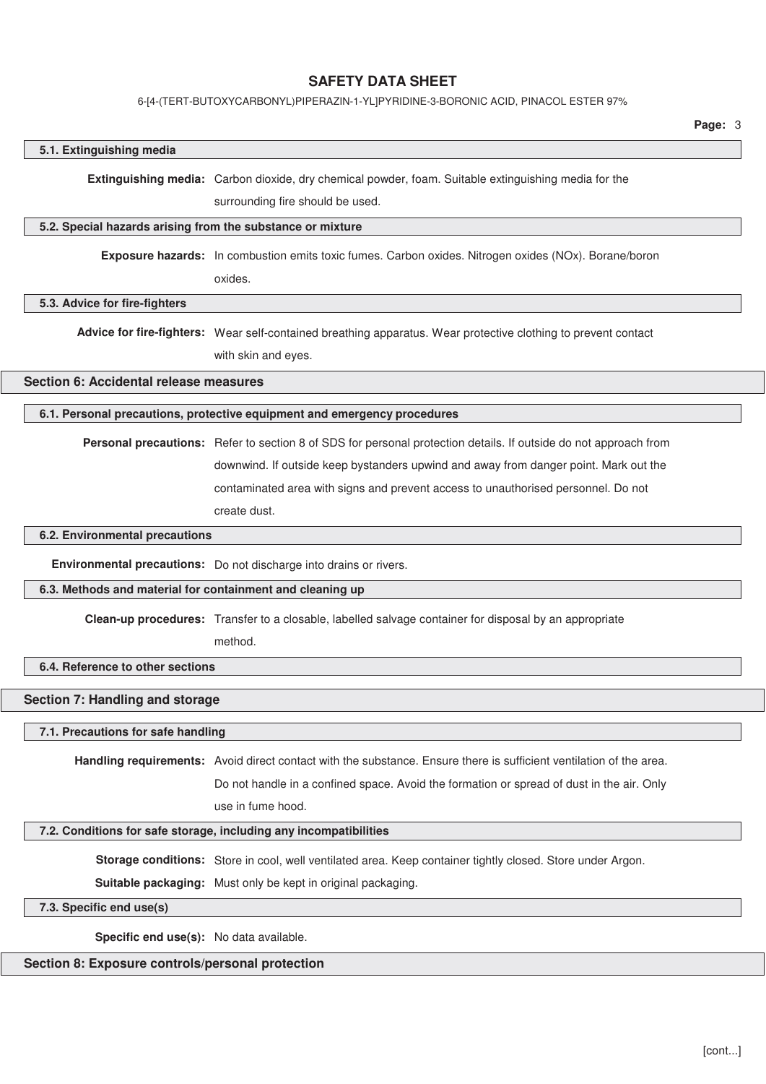#### 6-[4-(TERT-BUTOXYCARBONYL)PIPERAZIN-1-YL]PYRIDINE-3-BORONIC ACID, PINACOL ESTER 97%

# **5.1. Extinguishing media Extinguishing media:** Carbon dioxide, dry chemical powder, foam. Suitable extinguishing media for the surrounding fire should be used. **5.2. Special hazards arising from the substance or mixture Exposure hazards:** In combustion emits toxic fumes. Carbon oxides. Nitrogen oxides (NOx). Borane/boron oxides. **5.3. Advice for fire-fighters Advice for fire-fighters:** Wear self-contained breathing apparatus. Wear protective clothing to prevent contact with skin and eyes. **Section 6: Accidental release measures 6.1. Personal precautions, protective equipment and emergency procedures Personal precautions:** Refer to section 8 of SDS for personal protection details. If outside do not approach from downwind. If outside keep bystanders upwind and away from danger point. Mark out the contaminated area with signs and prevent access to unauthorised personnel. Do not create dust. **6.2. Environmental precautions Environmental precautions:** Do not discharge into drains or rivers. **6.3. Methods and material for containment and cleaning up Clean-up procedures:** Transfer to a closable, labelled salvage container for disposal by an appropriate method. **6.4. Reference to other sections Section 7: Handling and storage 7.1. Precautions for safe handling Handling requirements:** Avoid direct contact with the substance. Ensure there is sufficient ventilation of the area. Do not handle in a confined space. Avoid the formation or spread of dust in the air. Only use in fume hood. **7.2. Conditions for safe storage, including any incompatibilities Storage conditions:** Store in cool, well ventilated area. Keep container tightly closed. Store under Argon. **Suitable packaging:** Must only be kept in original packaging.

#### **7.3. Specific end use(s)**

**Specific end use(s):** No data available.

### **Section 8: Exposure controls/personal protection**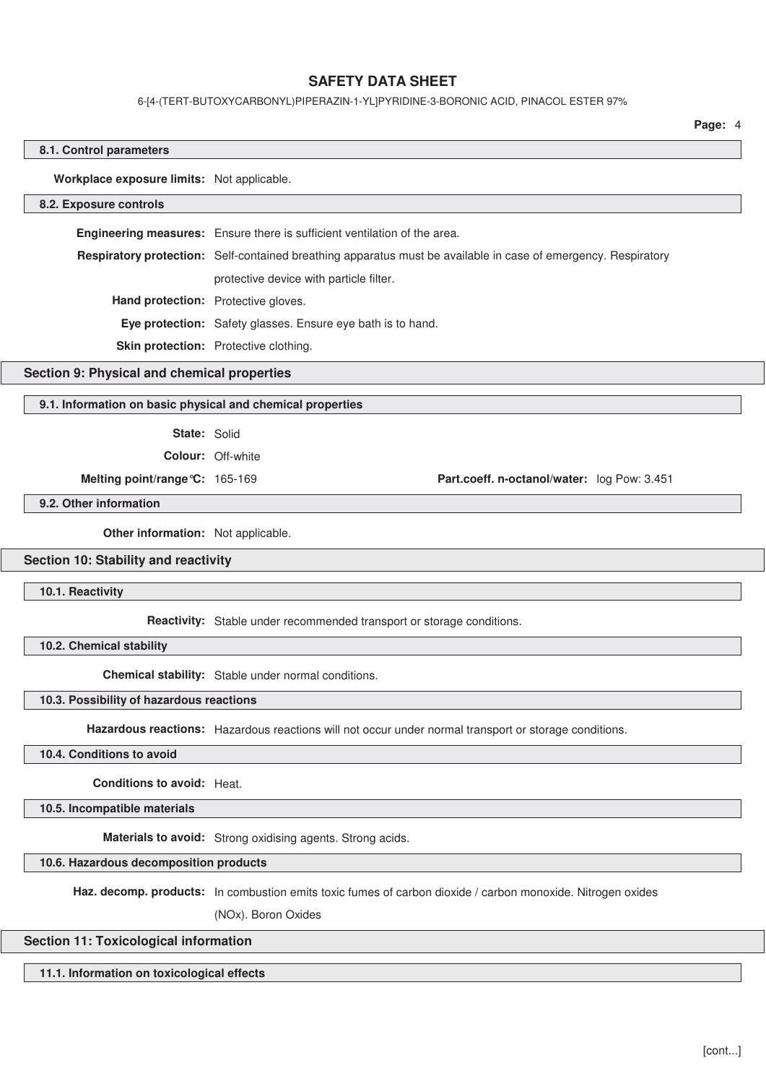#### 6-[4-(TERT-BUTOXYCARBONYL)PIPERAZIN-1-YL]PYRIDINE-3-BORONIC ACID, PINACOL ESTER 97%

**Page:** 4

#### **8.1. Control parameters**

**Workplace exposure limits:** Not applicable.

#### **8.2. Exposure controls**

**Engineering measures:** Ensure there is sufficient ventilation of the area. **Respiratory protection:** Self-contained breathing apparatus must be available in case of emergency. Respiratory protective device with particle filter. **Hand protection:** Protective gloves. **Eye protection:** Safety glasses. Ensure eye bath is to hand. **Skin protection:** Protective clothing.

#### **Section 9: Physical and chemical properties**

#### **9.1. Information on basic physical and chemical properties**

#### **State:** Solid

**Colour:** Off-white

**Melting point/range°C:** 165-169 **Part.coeff. n-octanol/water:** log Pow: 3.451

#### **9.2. Other information**

**Other information:** Not applicable.

#### **Section 10: Stability and reactivity**

**10.1. Reactivity**

**Reactivity:** Stable under recommended transport or storage conditions.

**10.2. Chemical stability**

**Chemical stability:** Stable under normal conditions.

#### **10.3. Possibility of hazardous reactions**

**Hazardous reactions:** Hazardous reactions will not occur under normal transport or storage conditions.

#### **10.4. Conditions to avoid**

**Conditions to avoid:** Heat.

**10.5. Incompatible materials**

**Materials to avoid:** Strong oxidising agents. Strong acids.

#### **10.6. Hazardous decomposition products**

**Haz. decomp. products:** In combustion emits toxic fumes of carbon dioxide / carbon monoxide. Nitrogen oxides

(NOx). Boron Oxides

#### **Section 11: Toxicological information**

**11.1. Information on toxicological effects**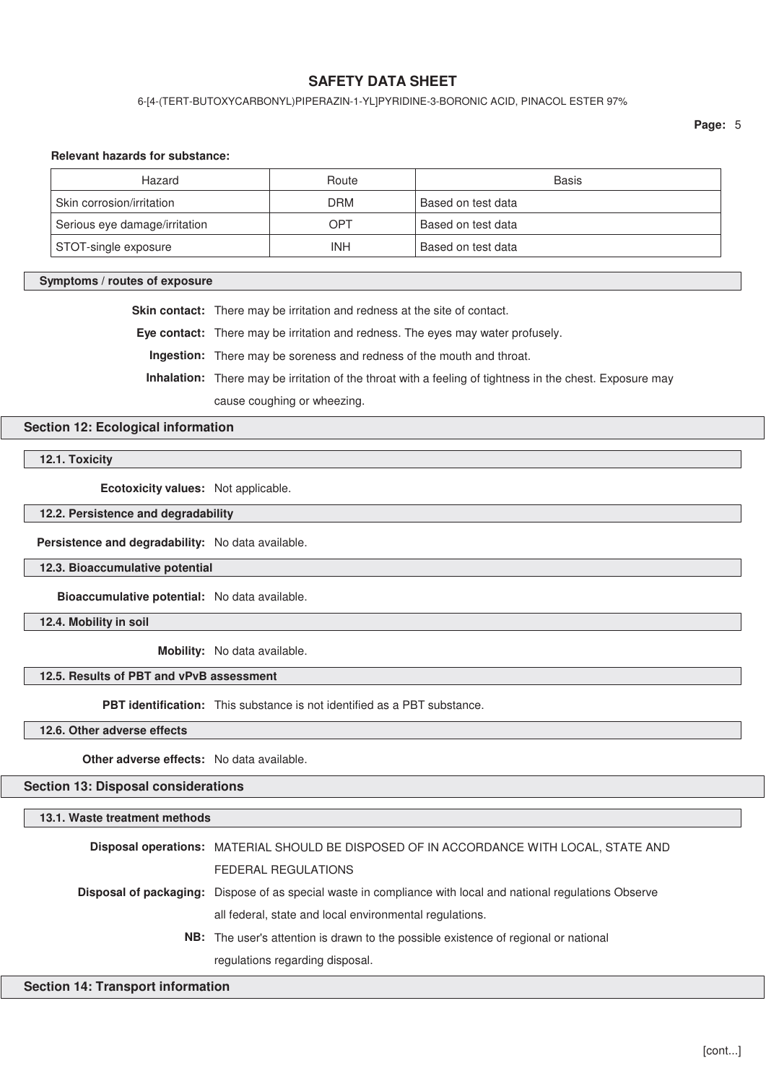6-[4-(TERT-BUTOXYCARBONYL)PIPERAZIN-1-YL]PYRIDINE-3-BORONIC ACID, PINACOL ESTER 97%

#### **Relevant hazards for substance:**

| Hazard                        | Route      | <b>Basis</b>       |
|-------------------------------|------------|--------------------|
| Skin corrosion/irritation     | <b>DRM</b> | Based on test data |
| Serious eye damage/irritation | OPT        | Based on test data |
| STOT-single exposure          | INH        | Based on test data |

#### **Symptoms / routes of exposure**

**Skin contact:** There may be irritation and redness at the site of contact.

**Eye contact:** There may be irritation and redness. The eyes may water profusely.

**Ingestion:** There may be soreness and redness of the mouth and throat.

**Inhalation:** There may be irritation of the throat with a feeling of tightness in the chest. Exposure may

cause coughing or wheezing.

### **Section 12: Ecological information**

**12.1. Toxicity**

**Ecotoxicity values:** Not applicable.

**12.2. Persistence and degradability**

**Persistence and degradability:** No data available.

**12.3. Bioaccumulative potential**

**Bioaccumulative potential:** No data available.

**12.4. Mobility in soil**

**Mobility:** No data available.

### **12.5. Results of PBT and vPvB assessment**

**PBT identification:** This substance is not identified as a PBT substance.

**12.6. Other adverse effects**

**Other adverse effects:** No data available.

**Section 13: Disposal considerations**

#### **13.1. Waste treatment methods**

| Disposal operations: MATERIAL SHOULD BE DISPOSED OF IN ACCORDANCE WITH LOCAL, STATE AND                             |
|---------------------------------------------------------------------------------------------------------------------|
| FEDERAL REGULATIONS                                                                                                 |
| <b>Disposal of packaging:</b> Dispose of as special waste in compliance with local and national regulations Observe |
| all federal, state and local environmental regulations.                                                             |
| <b>NB:</b> The user's attention is drawn to the possible existence of regional or national                          |
| regulations regarding disposal.                                                                                     |

#### **Section 14: Transport information**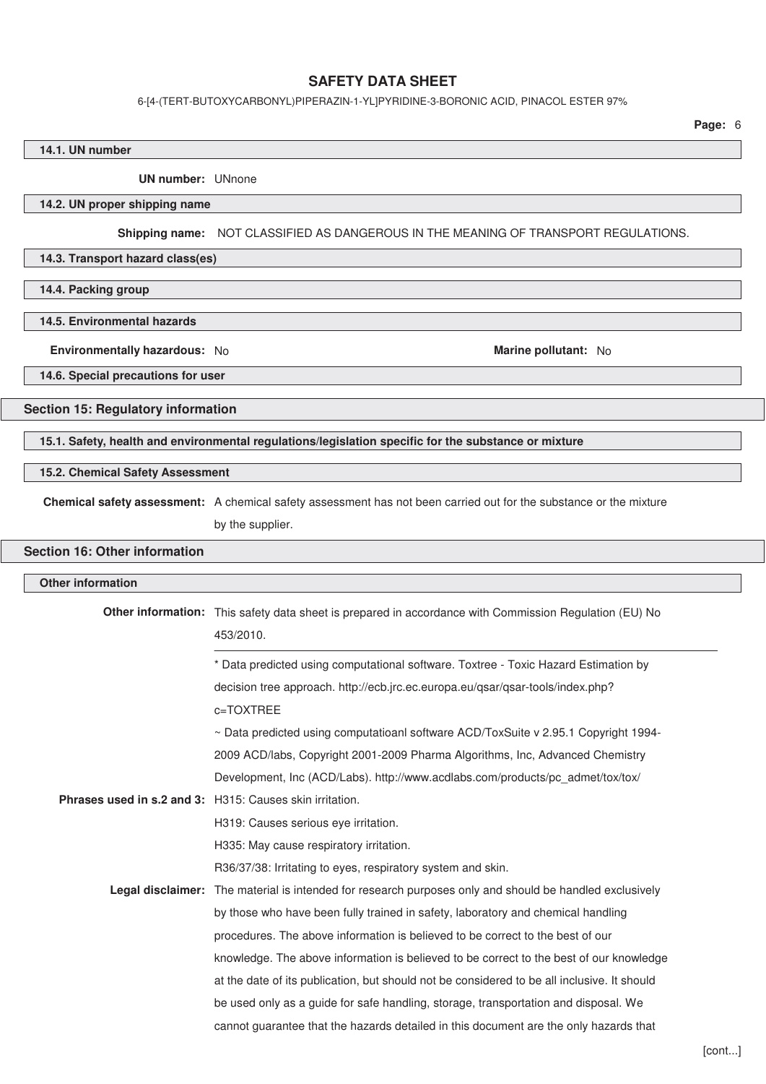#### 6-[4-(TERT-BUTOXYCARBONYL)PIPERAZIN-1-YL]PYRIDINE-3-BORONIC ACID, PINACOL ESTER 97%

**Page:** 6

# **14.1. UN number UN number:** UNnone **14.2. UN proper shipping name Shipping name:** NOT CLASSIFIED AS DANGEROUS IN THE MEANING OF TRANSPORT REGULATIONS. **14.3. Transport hazard class(es) 14.4. Packing group 14.5. Environmental hazards Environmentally hazardous:** No **Marine pollutant:** No **Marine pollutant:** No **14.6. Special precautions for user Section 15: Regulatory information 15.1. Safety, health and environmental regulations/legislation specific for the substance or mixture 15.2. Chemical Safety Assessment Chemical safety assessment:** A chemical safety assessment has not been carried out for the substance or the mixture by the supplier. **Section 16: Other information Other information Other information:** This safety data sheet is prepared in accordance with Commission Regulation (EU) No 453/2010. \* Data predicted using computational software. Toxtree - Toxic Hazard Estimation by decision tree approach. http://ecb.jrc.ec.europa.eu/qsar/qsar-tools/index.php? c=TOXTREE ~ Data predicted using computatioanl software ACD/ToxSuite v 2.95.1 Copyright 1994- 2009 ACD/labs, Copyright 2001-2009 Pharma Algorithms, Inc, Advanced Chemistry Development, Inc (ACD/Labs). http://www.acdlabs.com/products/pc\_admet/tox/tox/ **Phrases used in s.2 and 3:** H315: Causes skin irritation. H319: Causes serious eye irritation. H335: May cause respiratory irritation. R36/37/38: Irritating to eyes, respiratory system and skin. **Legal disclaimer:** The material is intended for research purposes only and should be handled exclusively by those who have been fully trained in safety, laboratory and chemical handling procedures. The above information is believed to be correct to the best of our knowledge. The above information is believed to be correct to the best of our knowledge at the date of its publication, but should not be considered to be all inclusive. It should

be used only as a guide for safe handling, storage, transportation and disposal. We

cannot guarantee that the hazards detailed in this document are the only hazards that

[cont...]